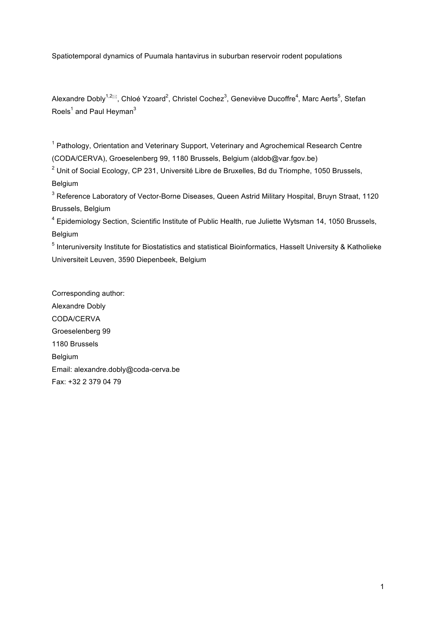Spatiotemporal dynamics of Puumala hantavirus in suburban reservoir rodent populations

Alexandre Dobly<sup>1,2⊠</sup>, Chloé Yzoard<sup>2</sup>, Christel Cochez<sup>3</sup>, Geneviève Ducoffre<sup>4</sup>, Marc Aerts<sup>5</sup>, Stefan Roels $1$  and Paul Heyman $3$ 

<sup>1</sup> Pathology, Orientation and Veterinary Support, Veterinary and Agrochemical Research Centre (CODA/CERVA), Groeselenberg 99, 1180 Brussels, Belgium (aldob@var.fgov.be)

 $2$  Unit of Social Ecology, CP 231, Université Libre de Bruxelles, Bd du Triomphe, 1050 Brussels, Belgium

<sup>3</sup> Reference Laboratory of Vector-Borne Diseases, Queen Astrid Military Hospital, Bruyn Straat, 1120 Brussels, Belgium

<sup>4</sup> Epidemiology Section, Scientific Institute of Public Health, rue Juliette Wytsman 14, 1050 Brussels, Belgium

<sup>5</sup> Interuniversity Institute for Biostatistics and statistical Bioinformatics, Hasselt University & Katholieke Universiteit Leuven, 3590 Diepenbeek, Belgium

Corresponding author: Alexandre Dobly CODA/CERVA Groeselenberg 99 1180 Brussels Belgium Email: alexandre.dobly@coda-cerva.be Fax: +32 2 379 04 79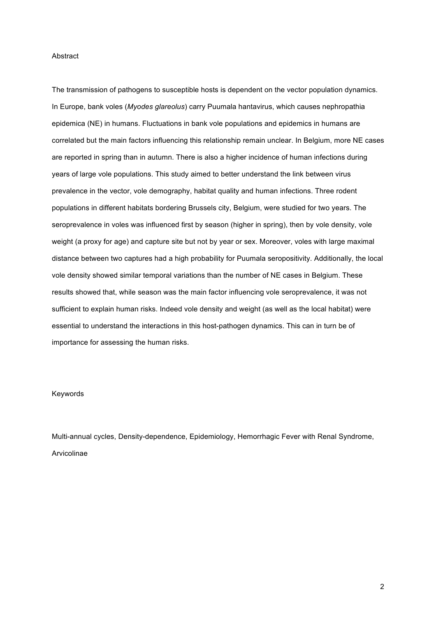### Abstract

The transmission of pathogens to susceptible hosts is dependent on the vector population dynamics. In Europe, bank voles (*Myodes glareolus*) carry Puumala hantavirus, which causes nephropathia epidemica (NE) in humans. Fluctuations in bank vole populations and epidemics in humans are correlated but the main factors influencing this relationship remain unclear. In Belgium, more NE cases are reported in spring than in autumn. There is also a higher incidence of human infections during years of large vole populations. This study aimed to better understand the link between virus prevalence in the vector, vole demography, habitat quality and human infections. Three rodent populations in different habitats bordering Brussels city, Belgium, were studied for two years. The seroprevalence in voles was influenced first by season (higher in spring), then by vole density, vole weight (a proxy for age) and capture site but not by year or sex. Moreover, voles with large maximal distance between two captures had a high probability for Puumala seropositivity. Additionally, the local vole density showed similar temporal variations than the number of NE cases in Belgium. These results showed that, while season was the main factor influencing vole seroprevalence, it was not sufficient to explain human risks. Indeed vole density and weight (as well as the local habitat) were essential to understand the interactions in this host-pathogen dynamics. This can in turn be of importance for assessing the human risks.

#### Keywords

Multi-annual cycles, Density-dependence, Epidemiology, Hemorrhagic Fever with Renal Syndrome, Arvicolinae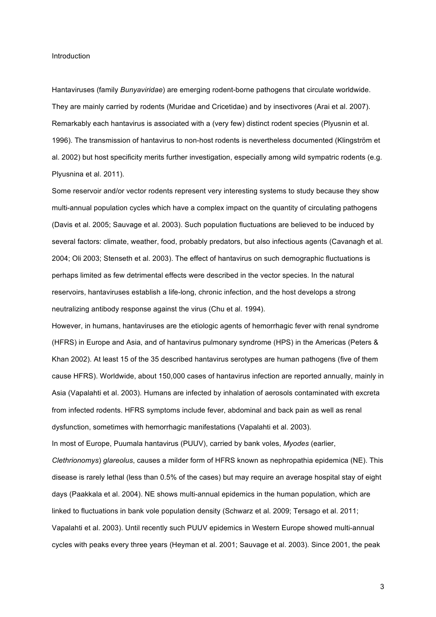#### Introduction

Hantaviruses (family *Bunyaviridae*) are emerging rodent-borne pathogens that circulate worldwide. They are mainly carried by rodents (Muridae and Cricetidae) and by insectivores (Arai et al. 2007). Remarkably each hantavirus is associated with a (very few) distinct rodent species (Plyusnin et al. 1996). The transmission of hantavirus to non-host rodents is nevertheless documented (Klingström et al. 2002) but host specificity merits further investigation, especially among wild sympatric rodents (e.g. Plyusnina et al. 2011).

Some reservoir and/or vector rodents represent very interesting systems to study because they show multi-annual population cycles which have a complex impact on the quantity of circulating pathogens (Davis et al. 2005; Sauvage et al. 2003). Such population fluctuations are believed to be induced by several factors: climate, weather, food, probably predators, but also infectious agents (Cavanagh et al. 2004; Oli 2003; Stenseth et al. 2003). The effect of hantavirus on such demographic fluctuations is perhaps limited as few detrimental effects were described in the vector species. In the natural reservoirs, hantaviruses establish a life-long, chronic infection, and the host develops a strong neutralizing antibody response against the virus (Chu et al. 1994).

However, in humans, hantaviruses are the etiologic agents of hemorrhagic fever with renal syndrome (HFRS) in Europe and Asia, and of hantavirus pulmonary syndrome (HPS) in the Americas (Peters & Khan 2002). At least 15 of the 35 described hantavirus serotypes are human pathogens (five of them cause HFRS). Worldwide, about 150,000 cases of hantavirus infection are reported annually, mainly in Asia (Vapalahti et al. 2003). Humans are infected by inhalation of aerosols contaminated with excreta from infected rodents. HFRS symptoms include fever, abdominal and back pain as well as renal dysfunction, sometimes with hemorrhagic manifestations (Vapalahti et al. 2003).

In most of Europe, Puumala hantavirus (PUUV), carried by bank voles, *Myodes* (earlier,

*Clethrionomys*) *glareolus*, causes a milder form of HFRS known as nephropathia epidemica (NE). This disease is rarely lethal (less than 0.5% of the cases) but may require an average hospital stay of eight days (Paakkala et al. 2004). NE shows multi-annual epidemics in the human population, which are linked to fluctuations in bank vole population density (Schwarz et al. 2009; Tersago et al. 2011; Vapalahti et al. 2003). Until recently such PUUV epidemics in Western Europe showed multi-annual cycles with peaks every three years (Heyman et al. 2001; Sauvage et al. 2003). Since 2001, the peak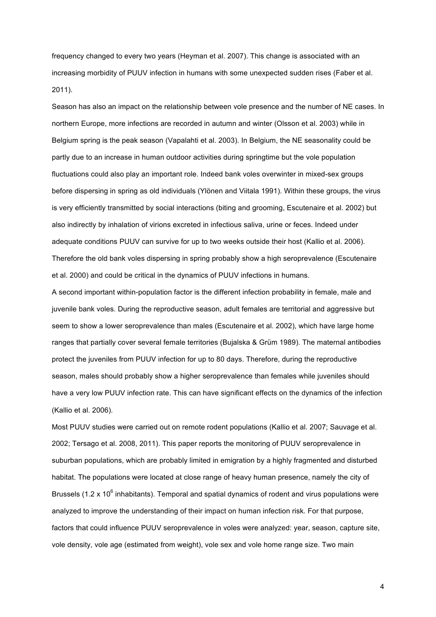frequency changed to every two years (Heyman et al. 2007). This change is associated with an increasing morbidity of PUUV infection in humans with some unexpected sudden rises (Faber et al. 2011).

Season has also an impact on the relationship between vole presence and the number of NE cases. In northern Europe, more infections are recorded in autumn and winter (Olsson et al. 2003) while in Belgium spring is the peak season (Vapalahti et al. 2003). In Belgium, the NE seasonality could be partly due to an increase in human outdoor activities during springtime but the vole population fluctuations could also play an important role. Indeed bank voles overwinter in mixed-sex groups before dispersing in spring as old individuals (Ylönen and Viitala 1991). Within these groups, the virus is very efficiently transmitted by social interactions (biting and grooming, Escutenaire et al. 2002) but also indirectly by inhalation of virions excreted in infectious saliva, urine or feces. Indeed under adequate conditions PUUV can survive for up to two weeks outside their host (Kallio et al. 2006). Therefore the old bank voles dispersing in spring probably show a high seroprevalence (Escutenaire et al. 2000) and could be critical in the dynamics of PUUV infections in humans.

A second important within-population factor is the different infection probability in female, male and juvenile bank voles. During the reproductive season, adult females are territorial and aggressive but seem to show a lower seroprevalence than males (Escutenaire et al. 2002), which have large home ranges that partially cover several female territories (Bujalska & Grüm 1989). The maternal antibodies protect the juveniles from PUUV infection for up to 80 days. Therefore, during the reproductive season, males should probably show a higher seroprevalence than females while juveniles should have a very low PUUV infection rate. This can have significant effects on the dynamics of the infection (Kallio et al. 2006).

Most PUUV studies were carried out on remote rodent populations (Kallio et al. 2007; Sauvage et al. 2002; Tersago et al. 2008, 2011). This paper reports the monitoring of PUUV seroprevalence in suburban populations, which are probably limited in emigration by a highly fragmented and disturbed habitat. The populations were located at close range of heavy human presence, namely the city of Brussels (1.2 x 10 $^6$  inhabitants). Temporal and spatial dynamics of rodent and virus populations were analyzed to improve the understanding of their impact on human infection risk. For that purpose, factors that could influence PUUV seroprevalence in voles were analyzed: year, season, capture site, vole density, vole age (estimated from weight), vole sex and vole home range size. Two main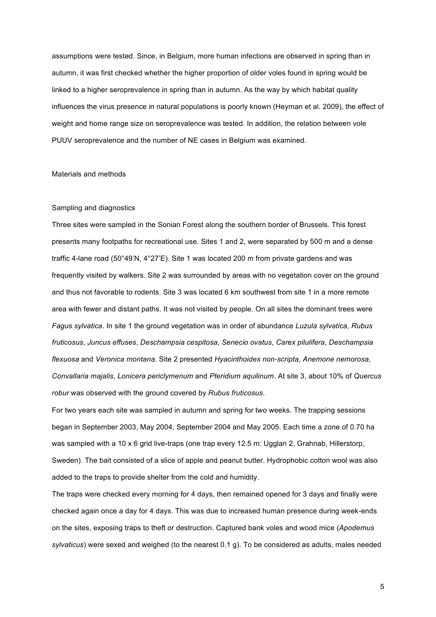assumptions were tested. Since, in Belgium, more human infections are observed in spring than in autumn, it was first checked whether the higher proportion of older voles found in spring would be linked to a higher seroprevalence in spring than in autumn. As the way by which habitat quality influences the virus presence in natural populations is poorly known (Heyman et al. 2009), the effect of weight and home range size on seroprevalence was tested. In addition, the relation between vole PUUV seroprevalence and the number of NE cases in Belgium was examined.

# Materials and methods

#### Sampling and diagnostics

Three sites were sampled in the Sonian Forest along the southern border of Brussels. This forest presents many footpaths for recreational use. Sites 1 and 2, were separated by 500 m and a dense traffic 4-lane road (50°49'N, 4°27'E). Site 1 was located 200 m from private gardens and was frequently visited by walkers. Site 2 was surrounded by areas with no vegetation cover on the ground and thus not favorable to rodents. Site 3 was located 6 km southwest from site 1 in a more remote area with fewer and distant paths. It was not visited by people. On all sites the dominant trees were *Fagus sylvatica*. In site 1 the ground vegetation was in order of abundance *Luzula sylvatica*, *Rubus fruticosus*, *Juncus effuses*, *Deschampsia cespitosa*, *Senecio ovatus*, *Carex pilulifera*, *Deschampsia flexuosa* and *Veronica montana*. Site 2 presented *Hyacinthoides non-scripta*, *Anemone nemorosa*, *Convallaria majalis*, *Lonicera periclymenum* and *Pteridium aquilinum*. At site 3, about 10% of *Quercus robur* was observed with the ground covered by *Rubus fruticosus*.

For two years each site was sampled in autumn and spring for two weeks. The trapping sessions began in September 2003, May 2004, September 2004 and May 2005. Each time a zone of 0.70 ha was sampled with a 10 x 6 grid live-traps (one trap every 12.5 m: Ugglan 2, Grahnab, Hillerstorp, Sweden). The bait consisted of a slice of apple and peanut butter. Hydrophobic cotton wool was also added to the traps to provide shelter from the cold and humidity.

The traps were checked every morning for 4 days, then remained opened for 3 days and finally were checked again once a day for 4 days. This was due to increased human presence during week-ends on the sites, exposing traps to theft or destruction. Captured bank voles and wood mice (*Apodemus sylvaticus*) were sexed and weighed (to the nearest 0.1 g). To be considered as adults, males needed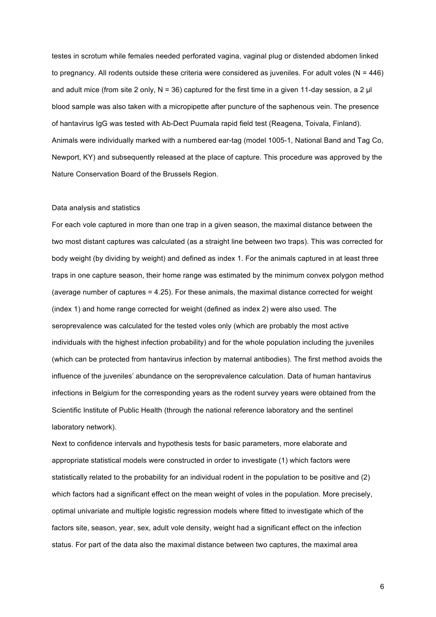testes in scrotum while females needed perforated vagina, vaginal plug or distended abdomen linked to pregnancy. All rodents outside these criteria were considered as juveniles. For adult voles ( $N = 446$ ) and adult mice (from site 2 only,  $N = 36$ ) captured for the first time in a given 11-day session, a 2  $\mu$ blood sample was also taken with a micropipette after puncture of the saphenous vein. The presence of hantavirus IgG was tested with Ab-Dect Puumala rapid field test (Reagena, Toivala, Finland). Animals were individually marked with a numbered ear-tag (model 1005-1, National Band and Tag Co, Newport, KY) and subsequently released at the place of capture. This procedure was approved by the Nature Conservation Board of the Brussels Region.

#### Data analysis and statistics

For each vole captured in more than one trap in a given season, the maximal distance between the two most distant captures was calculated (as a straight line between two traps). This was corrected for body weight (by dividing by weight) and defined as index 1. For the animals captured in at least three traps in one capture season, their home range was estimated by the minimum convex polygon method (average number of captures = 4.25). For these animals, the maximal distance corrected for weight (index 1) and home range corrected for weight (defined as index 2) were also used. The seroprevalence was calculated for the tested voles only (which are probably the most active individuals with the highest infection probability) and for the whole population including the juveniles (which can be protected from hantavirus infection by maternal antibodies). The first method avoids the influence of the juveniles' abundance on the seroprevalence calculation. Data of human hantavirus infections in Belgium for the corresponding years as the rodent survey years were obtained from the Scientific Institute of Public Health (through the national reference laboratory and the sentinel laboratory network).

Next to confidence intervals and hypothesis tests for basic parameters, more elaborate and appropriate statistical models were constructed in order to investigate (1) which factors were statistically related to the probability for an individual rodent in the population to be positive and (2) which factors had a significant effect on the mean weight of voles in the population. More precisely, optimal univariate and multiple logistic regression models where fitted to investigate which of the factors site, season, year, sex, adult vole density, weight had a significant effect on the infection status. For part of the data also the maximal distance between two captures, the maximal area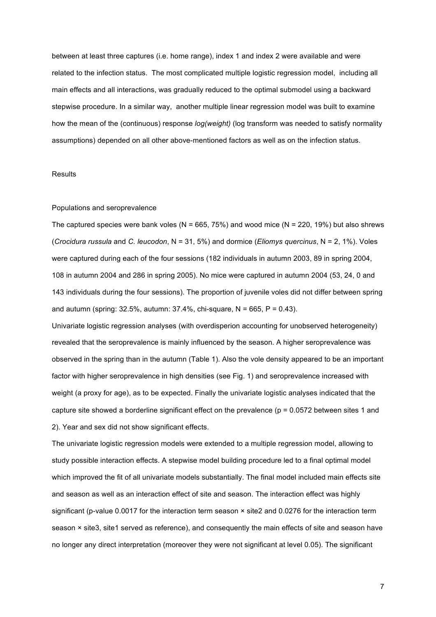between at least three captures (i.e. home range), index 1 and index 2 were available and were related to the infection status. The most complicated multiple logistic regression model, including all main effects and all interactions, was gradually reduced to the optimal submodel using a backward stepwise procedure. In a similar way, another multiple linear regression model was built to examine how the mean of the (continuous) response *log(weight)* (log transform was needed to satisfy normality assumptions) depended on all other above-mentioned factors as well as on the infection status.

### **Results**

## Populations and seroprevalence

The captured species were bank voles (N =  $665$ , 75%) and wood mice (N = 220, 19%) but also shrews (*Crocidura russula* and *C. leucodon*, N = 31, 5%) and dormice (*Eliomys quercinus*, N = 2, 1%). Voles were captured during each of the four sessions (182 individuals in autumn 2003, 89 in spring 2004, 108 in autumn 2004 and 286 in spring 2005). No mice were captured in autumn 2004 (53, 24, 0 and 143 individuals during the four sessions). The proportion of juvenile voles did not differ between spring and autumn (spring:  $32.5\%$ , autumn:  $37.4\%$ , chi-square, N = 665, P = 0.43).

Univariate logistic regression analyses (with overdisperion accounting for unobserved heterogeneity) revealed that the seroprevalence is mainly influenced by the season. A higher seroprevalence was observed in the spring than in the autumn (Table 1). Also the vole density appeared to be an important factor with higher seroprevalence in high densities (see Fig. 1) and seroprevalence increased with weight (a proxy for age), as to be expected. Finally the univariate logistic analyses indicated that the capture site showed a borderline significant effect on the prevalence ( $p = 0.0572$  between sites 1 and 2). Year and sex did not show significant effects.

The univariate logistic regression models were extended to a multiple regression model, allowing to study possible interaction effects. A stepwise model building procedure led to a final optimal model which improved the fit of all univariate models substantially. The final model included main effects site and season as well as an interaction effect of site and season. The interaction effect was highly significant (p-value 0.0017 for the interaction term season  $\times$  site2 and 0.0276 for the interaction term season × site3, site1 served as reference), and consequently the main effects of site and season have no longer any direct interpretation (moreover they were not significant at level 0.05). The significant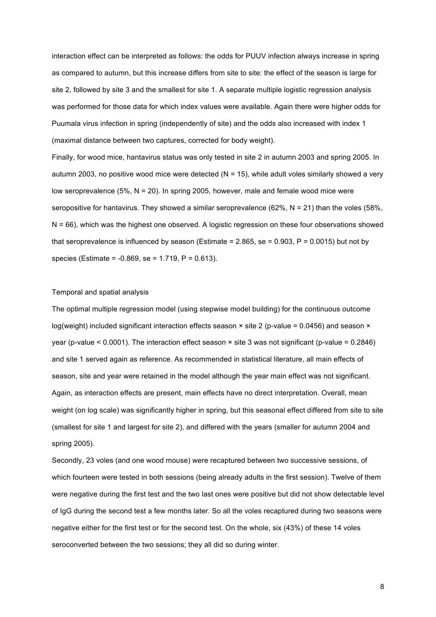interaction effect can be interpreted as follows: the odds for PUUV infection always increase in spring as compared to autumn, but this increase differs from site to site: the effect of the season is large for site 2, followed by site 3 and the smallest for site 1. A separate multiple logistic regression analysis was performed for those data for which index values were available. Again there were higher odds for Puumala virus infection in spring (independently of site) and the odds also increased with index 1 (maximal distance between two captures, corrected for body weight).

Finally, for wood mice, hantavirus status was only tested in site 2 in autumn 2003 and spring 2005. In autumn 2003, no positive wood mice were detected  $(N = 15)$ , while adult voles similarly showed a very low seroprevalence (5%, N = 20). In spring 2005, however, male and female wood mice were seropositive for hantavirus. They showed a similar seroprevalence (62%,  $N = 21$ ) than the voles (58%, N = 66), which was the highest one observed. A logistic regression on these four observations showed that seroprevalence is influenced by season (Estimate =  $2.865$ , se =  $0.903$ , P =  $0.0015$ ) but not by species (Estimate = -0.869, se = 1.719, P = 0.613).

# Temporal and spatial analysis

The optimal multiple regression model (using stepwise model building) for the continuous outcome log(weight) included significant interaction effects season  $\times$  site 2 (p-value = 0.0456) and season  $\times$ year (p-value < 0.0001). The interaction effect season × site 3 was not significant (p-value = 0.2846) and site 1 served again as reference. As recommended in statistical literature, all main effects of season, site and year were retained in the model although the year main effect was not significant. Again, as interaction effects are present, main effects have no direct interpretation. Overall, mean weight (on log scale) was significantly higher in spring, but this seasonal effect differed from site to site (smallest for site 1 and largest for site 2), and differed with the years (smaller for autumn 2004 and spring 2005).

Secondly, 23 voles (and one wood mouse) were recaptured between two successive sessions, of which fourteen were tested in both sessions (being already adults in the first session). Twelve of them were negative during the first test and the two last ones were positive but did not show detectable level of IgG during the second test a few months later. So all the voles recaptured during two seasons were negative either for the first test or for the second test. On the whole, six (43%) of these 14 voles seroconverted between the two sessions; they all did so during winter.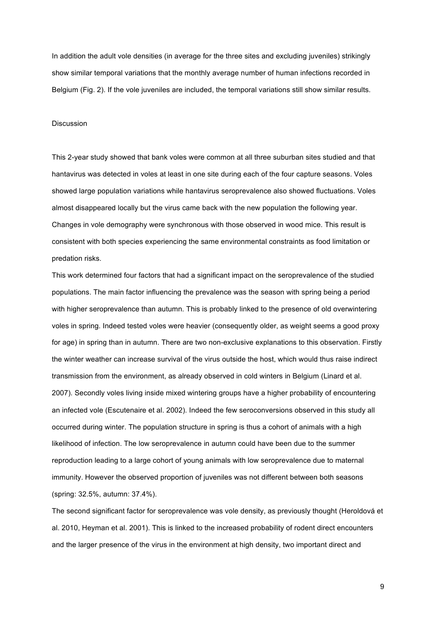In addition the adult vole densities (in average for the three sites and excluding juveniles) strikingly show similar temporal variations that the monthly average number of human infections recorded in Belgium (Fig. 2). If the vole juveniles are included, the temporal variations still show similar results.

# Discussion

This 2-year study showed that bank voles were common at all three suburban sites studied and that hantavirus was detected in voles at least in one site during each of the four capture seasons. Voles showed large population variations while hantavirus seroprevalence also showed fluctuations. Voles almost disappeared locally but the virus came back with the new population the following year. Changes in vole demography were synchronous with those observed in wood mice. This result is consistent with both species experiencing the same environmental constraints as food limitation or predation risks.

This work determined four factors that had a significant impact on the seroprevalence of the studied populations. The main factor influencing the prevalence was the season with spring being a period with higher seroprevalence than autumn. This is probably linked to the presence of old overwintering voles in spring. Indeed tested voles were heavier (consequently older, as weight seems a good proxy for age) in spring than in autumn. There are two non-exclusive explanations to this observation. Firstly the winter weather can increase survival of the virus outside the host, which would thus raise indirect transmission from the environment, as already observed in cold winters in Belgium (Linard et al. 2007). Secondly voles living inside mixed wintering groups have a higher probability of encountering an infected vole (Escutenaire et al. 2002). Indeed the few seroconversions observed in this study all occurred during winter. The population structure in spring is thus a cohort of animals with a high likelihood of infection. The low seroprevalence in autumn could have been due to the summer reproduction leading to a large cohort of young animals with low seroprevalence due to maternal immunity. However the observed proportion of juveniles was not different between both seasons (spring: 32.5%, autumn: 37.4%).

The second significant factor for seroprevalence was vole density, as previously thought (Heroldová et al. 2010, Heyman et al. 2001). This is linked to the increased probability of rodent direct encounters and the larger presence of the virus in the environment at high density, two important direct and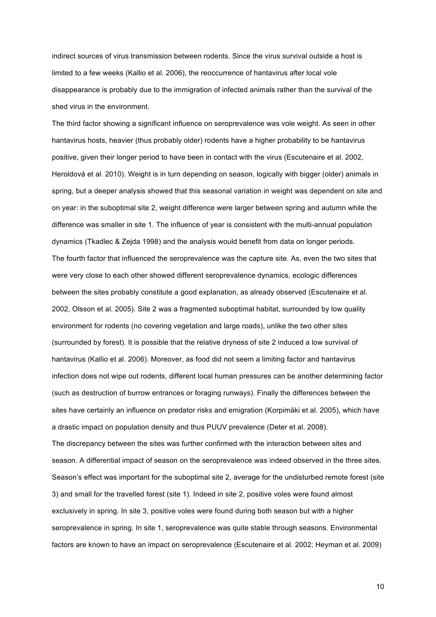indirect sources of virus transmission between rodents. Since the virus survival outside a host is limited to a few weeks (Kallio et al. 2006), the reoccurrence of hantavirus after local vole disappearance is probably due to the immigration of infected animals rather than the survival of the shed virus in the environment.

The third factor showing a significant influence on seroprevalence was vole weight. As seen in other hantavirus hosts, heavier (thus probably older) rodents have a higher probability to be hantavirus positive, given their longer period to have been in contact with the virus (Escutenaire et al. 2002, Heroldová et al. 2010). Weight is in turn depending on season, logically with bigger (older) animals in spring, but a deeper analysis showed that this seasonal variation in weight was dependent on site and on year: in the suboptimal site 2, weight difference were larger between spring and autumn while the difference was smaller in site 1. The influence of year is consistent with the multi-annual population dynamics (Tkadlec & Zejda 1998) and the analysis would benefit from data on longer periods. The fourth factor that influenced the seroprevalence was the capture site. As, even the two sites that were very close to each other showed different seroprevalence dynamics, ecologic differences between the sites probably constitute a good explanation, as already observed (Escutenaire et al. 2002, Olsson et al. 2005). Site 2 was a fragmented suboptimal habitat, surrounded by low quality environment for rodents (no covering vegetation and large roads), unlike the two other sites (surrounded by forest). It is possible that the relative dryness of site 2 induced a low survival of hantavirus (Kallio et al. 2006). Moreover, as food did not seem a limiting factor and hantavirus infection does not wipe out rodents, different local human pressures can be another determining factor (such as destruction of burrow entrances or foraging runways). Finally the differences between the sites have certainly an influence on predator risks and emigration (Korpimäki et al. 2005), which have a drastic impact on population density and thus PUUV prevalence (Deter et al. 2008). The discrepancy between the sites was further confirmed with the interaction between sites and season. A differential impact of season on the seroprevalence was indeed observed in the three sites. Season's effect was important for the suboptimal site 2, average for the undisturbed remote forest (site 3) and small for the travelled forest (site 1). Indeed in site 2, positive voles were found almost exclusively in spring. In site 3, positive voles were found during both season but with a higher seroprevalence in spring. In site 1, seroprevalence was quite stable through seasons. Environmental factors are known to have an impact on seroprevalence (Escutenaire et al. 2002; Heyman et al. 2009)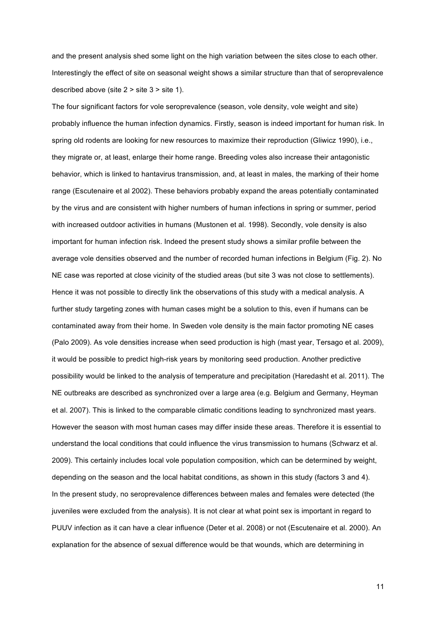and the present analysis shed some light on the high variation between the sites close to each other. Interestingly the effect of site on seasonal weight shows a similar structure than that of seroprevalence described above (site 2 > site 3 > site 1).

The four significant factors for vole seroprevalence (season, vole density, vole weight and site) probably influence the human infection dynamics. Firstly, season is indeed important for human risk. In spring old rodents are looking for new resources to maximize their reproduction (Gliwicz 1990), i.e., they migrate or, at least, enlarge their home range. Breeding voles also increase their antagonistic behavior, which is linked to hantavirus transmission, and, at least in males, the marking of their home range (Escutenaire et al 2002). These behaviors probably expand the areas potentially contaminated by the virus and are consistent with higher numbers of human infections in spring or summer, period with increased outdoor activities in humans (Mustonen et al. 1998). Secondly, vole density is also important for human infection risk. Indeed the present study shows a similar profile between the average vole densities observed and the number of recorded human infections in Belgium (Fig. 2). No NE case was reported at close vicinity of the studied areas (but site 3 was not close to settlements). Hence it was not possible to directly link the observations of this study with a medical analysis. A further study targeting zones with human cases might be a solution to this, even if humans can be contaminated away from their home. In Sweden vole density is the main factor promoting NE cases (Palo 2009). As vole densities increase when seed production is high (mast year, Tersago et al. 2009), it would be possible to predict high-risk years by monitoring seed production. Another predictive possibility would be linked to the analysis of temperature and precipitation (Haredasht et al. 2011). The NE outbreaks are described as synchronized over a large area (e.g. Belgium and Germany, Heyman et al. 2007). This is linked to the comparable climatic conditions leading to synchronized mast years. However the season with most human cases may differ inside these areas. Therefore it is essential to understand the local conditions that could influence the virus transmission to humans (Schwarz et al. 2009). This certainly includes local vole population composition, which can be determined by weight, depending on the season and the local habitat conditions, as shown in this study (factors 3 and 4). In the present study, no seroprevalence differences between males and females were detected (the juveniles were excluded from the analysis). It is not clear at what point sex is important in regard to PUUV infection as it can have a clear influence (Deter et al. 2008) or not (Escutenaire et al. 2000). An explanation for the absence of sexual difference would be that wounds, which are determining in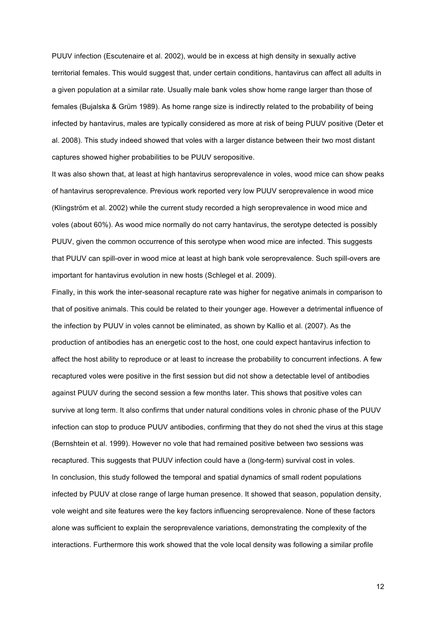PUUV infection (Escutenaire et al. 2002), would be in excess at high density in sexually active territorial females. This would suggest that, under certain conditions, hantavirus can affect all adults in a given population at a similar rate. Usually male bank voles show home range larger than those of females (Bujalska & Grüm 1989). As home range size is indirectly related to the probability of being infected by hantavirus, males are typically considered as more at risk of being PUUV positive (Deter et al. 2008). This study indeed showed that voles with a larger distance between their two most distant captures showed higher probabilities to be PUUV seropositive.

It was also shown that, at least at high hantavirus seroprevalence in voles, wood mice can show peaks of hantavirus seroprevalence. Previous work reported very low PUUV seroprevalence in wood mice (Klingström et al. 2002) while the current study recorded a high seroprevalence in wood mice and voles (about 60%). As wood mice normally do not carry hantavirus, the serotype detected is possibly PUUV, given the common occurrence of this serotype when wood mice are infected. This suggests that PUUV can spill-over in wood mice at least at high bank vole seroprevalence. Such spill-overs are important for hantavirus evolution in new hosts (Schlegel et al. 2009).

Finally, in this work the inter-seasonal recapture rate was higher for negative animals in comparison to that of positive animals. This could be related to their younger age. However a detrimental influence of the infection by PUUV in voles cannot be eliminated, as shown by Kallio et al. (2007). As the production of antibodies has an energetic cost to the host, one could expect hantavirus infection to affect the host ability to reproduce or at least to increase the probability to concurrent infections. A few recaptured voles were positive in the first session but did not show a detectable level of antibodies against PUUV during the second session a few months later. This shows that positive voles can survive at long term. It also confirms that under natural conditions voles in chronic phase of the PUUV infection can stop to produce PUUV antibodies, confirming that they do not shed the virus at this stage (Bernshtein et al. 1999). However no vole that had remained positive between two sessions was recaptured. This suggests that PUUV infection could have a (long-term) survival cost in voles. In conclusion, this study followed the temporal and spatial dynamics of small rodent populations infected by PUUV at close range of large human presence. It showed that season, population density, vole weight and site features were the key factors influencing seroprevalence. None of these factors alone was sufficient to explain the seroprevalence variations, demonstrating the complexity of the interactions. Furthermore this work showed that the vole local density was following a similar profile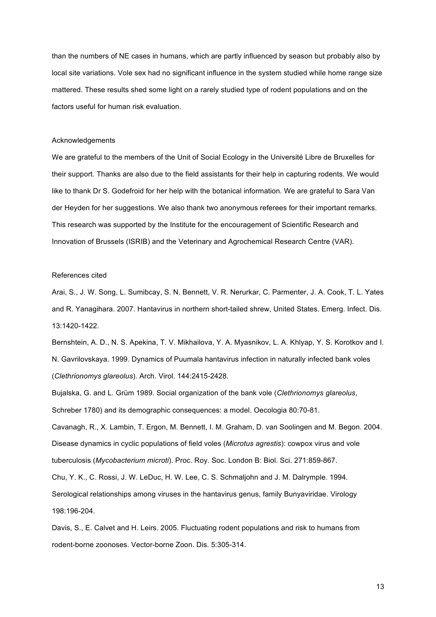than the numbers of NE cases in humans, which are partly influenced by season but probably also by local site variations. Vole sex had no significant influence in the system studied while home range size mattered. These results shed some light on a rarely studied type of rodent populations and on the factors useful for human risk evaluation.

# Acknowledgements

We are grateful to the members of the Unit of Social Ecology in the Université Libre de Bruxelles for their support. Thanks are also due to the field assistants for their help in capturing rodents. We would like to thank Dr S. Godefroid for her help with the botanical information. We are grateful to Sara Van der Heyden for her suggestions. We also thank two anonymous referees for their important remarks. This research was supported by the Institute for the encouragement of Scientific Research and Innovation of Brussels (ISRIB) and the Veterinary and Agrochemical Research Centre (VAR).

## References cited

Arai, S., J. W. Song, L. Sumibcay, S. N. Bennett, V. R. Nerurkar, C. Parmenter, J. A. Cook, T. L. Yates and R. Yanagihara. 2007. Hantavirus in northern short-tailed shrew, United States. Emerg. Infect. Dis. 13:1420-1422.

Bernshtein, A. D., N. S. Apekina, T. V. Mikhailova, Y. A. Myasnikov, L. A. Khlyap, Y. S. Korotkov and I. N. Gavrilovskaya. 1999. Dynamics of Puumala hantavirus infection in naturally infected bank voles (*Clethrionomys glareolus*). Arch. Virol. 144:2415-2428.

Bujalska, G. and L. Grüm 1989. Social organization of the bank vole (*Clethrionomys glareolus*, Schreber 1780) and its demographic consequences: a model. Oecologia 80:70-81.

Cavanagh, R., X. Lambin, T. Ergon, M. Bennett, I. M. Graham, D. van Soolingen and M. Begon. 2004. Disease dynamics in cyclic populations of field voles (*Microtus agrestis*): cowpox virus and vole tuberculosis (*Mycobacterium microti*). Proc. Roy. Soc. London B: Biol. Sci. 271:859-867.

Chu, Y. K., C. Rossi, J. W. LeDuc, H. W. Lee, C. S. Schmaljohn and J. M. Dalrymple. 1994. Serological relationships among viruses in the hantavirus genus, family Bunyaviridae. Virology 198:196-204.

Davis, S., E. Calvet and H. Leirs. 2005. Fluctuating rodent populations and risk to humans from rodent-borne zoonoses. Vector-borne Zoon. Dis. 5:305-314.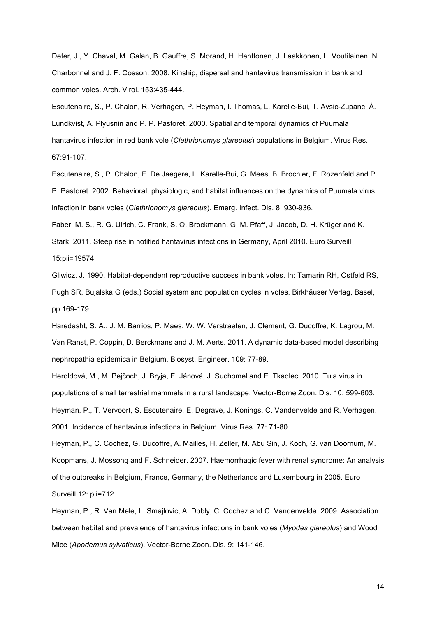Deter, J., Y. Chaval, M. Galan, B. Gauffre, S. Morand, H. Henttonen, J. Laakkonen, L. Voutilainen, N. Charbonnel and J. F. Cosson. 2008. Kinship, dispersal and hantavirus transmission in bank and common voles. Arch. Virol. 153:435-444.

Escutenaire, S., P. Chalon, R. Verhagen, P. Heyman, I. Thomas, L. Karelle-Bui, T. Avsic-Zupanc, Å. Lundkvist, A. Plyusnin and P. P. Pastoret. 2000. Spatial and temporal dynamics of Puumala hantavirus infection in red bank vole (*Clethrionomys glareolus*) populations in Belgium. Virus Res. 67:91-107.

Escutenaire, S., P. Chalon, F. De Jaegere, L. Karelle-Bui, G. Mees, B. Brochier, F. Rozenfeld and P. P. Pastoret. 2002. Behavioral, physiologic, and habitat influences on the dynamics of Puumala virus infection in bank voles (*Clethrionomys glareolus*). Emerg. Infect. Dis. 8: 930-936.

Faber, M. S., R. G. Ulrich, C. Frank, S. O. Brockmann, G. M. Pfaff, J. Jacob, D. H. Krüger and K. Stark. 2011. Steep rise in notified hantavirus infections in Germany, April 2010. Euro Surveill 15:pii=19574.

Gliwicz, J. 1990. Habitat-dependent reproductive success in bank voles. In: Tamarin RH, Ostfeld RS, Pugh SR, Bujalska G (eds.) Social system and population cycles in voles. Birkhäuser Verlag, Basel, pp 169-179.

Haredasht, S. A., J. M. Barrios, P. Maes, W. W. Verstraeten, J. Clement, G. Ducoffre, K. Lagrou, M. Van Ranst, P. Coppin, D. Berckmans and J. M. Aerts. 2011. A dynamic data-based model describing nephropathia epidemica in Belgium. Biosyst. Engineer. 109: 77-89.

Heroldová, M., M. Pejčoch, J. Bryja, E. Jánová, J. Suchomel and E. Tkadlec. 2010. Tula virus in populations of small terrestrial mammals in a rural landscape. Vector-Borne Zoon. Dis. 10: 599-603. Heyman, P., T. Vervoort, S. Escutenaire, E. Degrave, J. Konings, C. Vandenvelde and R. Verhagen. 2001. Incidence of hantavirus infections in Belgium. Virus Res. 77: 71-80.

Heyman, P., C. Cochez, G. Ducoffre, A. Mailles, H. Zeller, M. Abu Sin, J. Koch, G. van Doornum, M. Koopmans, J. Mossong and F. Schneider. 2007. Haemorrhagic fever with renal syndrome: An analysis of the outbreaks in Belgium, France, Germany, the Netherlands and Luxembourg in 2005. Euro Surveill 12: pii=712.

Heyman, P., R. Van Mele, L. Smajlovic, A. Dobly, C. Cochez and C. Vandenvelde. 2009. Association between habitat and prevalence of hantavirus infections in bank voles (*Myodes glareolus*) and Wood Mice (*Apodemus sylvaticus*). Vector-Borne Zoon. Dis. 9: 141-146.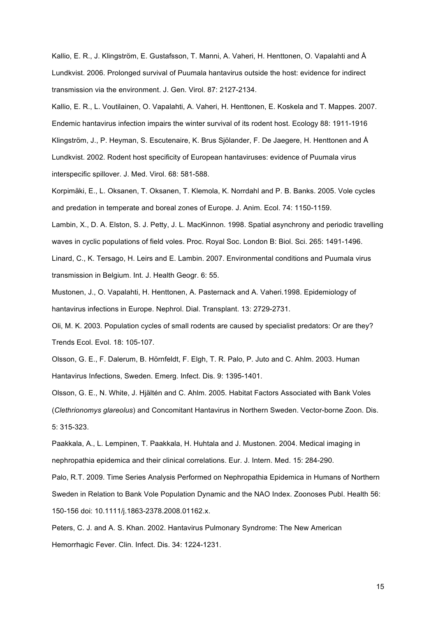Kallio, E. R., J. Klingström, E. Gustafsson, T. Manni, A. Vaheri, H. Henttonen, O. Vapalahti and Å Lundkvist. 2006. Prolonged survival of Puumala hantavirus outside the host: evidence for indirect transmission via the environment. J. Gen. Virol. 87: 2127-2134.

Kallio, E. R., L. Voutilainen, O. Vapalahti, A. Vaheri, H. Henttonen, E. Koskela and T. Mappes. 2007. Endemic hantavirus infection impairs the winter survival of its rodent host. Ecology 88: 1911-1916 Klingström, J., P. Heyman, S. Escutenaire, K. Brus Sjölander, F. De Jaegere, H. Henttonen and Å Lundkvist. 2002. Rodent host specificity of European hantaviruses: evidence of Puumala virus interspecific spillover. J. Med. Virol. 68: 581-588.

Korpimäki, E., L. Oksanen, T. Oksanen, T. Klemola, K. Norrdahl and P. B. Banks. 2005. Vole cycles and predation in temperate and boreal zones of Europe. J. Anim. Ecol. 74: 1150-1159.

Lambin, X., D. A. Elston, S. J. Petty, J. L. MacKinnon. 1998. Spatial asynchrony and periodic travelling waves in cyclic populations of field voles. Proc. Royal Soc. London B: Biol. Sci. 265: 1491-1496. Linard, C., K. Tersago, H. Leirs and E. Lambin. 2007. Environmental conditions and Puumala virus transmission in Belgium. Int. J. Health Geogr. 6: 55.

Mustonen, J., O. Vapalahti, H. Henttonen, A. Pasternack and A. Vaheri.1998. Epidemiology of hantavirus infections in Europe. Nephrol. Dial. Transplant. 13: 2729-2731.

Oli, M. K. 2003. Population cycles of small rodents are caused by specialist predators: Or are they? Trends Ecol. Evol. 18: 105-107.

Olsson, G. E., F. Dalerum, B. Hörnfeldt, F. Elgh, T. R. Palo, P. Juto and C. Ahlm. 2003. Human Hantavirus Infections, Sweden. Emerg. Infect. Dis. 9: 1395-1401.

Olsson, G. E., N. White, J. Hjältén and C. Ahlm. 2005. Habitat Factors Associated with Bank Voles (*Clethrionomys glareolus*) and Concomitant Hantavirus in Northern Sweden. Vector-borne Zoon. Dis. 5: 315-323.

Paakkala, A., L. Lempinen, T. Paakkala, H. Huhtala and J. Mustonen. 2004. Medical imaging in nephropathia epidemica and their clinical correlations. Eur. J. Intern. Med. 15: 284-290.

Palo, R.T. 2009. Time Series Analysis Performed on Nephropathia Epidemica in Humans of Northern Sweden in Relation to Bank Vole Population Dynamic and the NAO Index. Zoonoses Publ. Health 56: 150-156 doi: 10.1111/j.1863-2378.2008.01162.x.

Peters, C. J. and A. S. Khan. 2002. Hantavirus Pulmonary Syndrome: The New American Hemorrhagic Fever. Clin. Infect. Dis. 34: 1224-1231.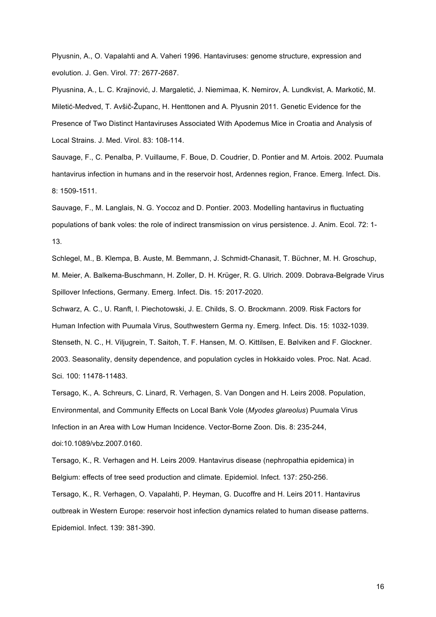Plyusnin, A., O. Vapalahti and A. Vaheri 1996. Hantaviruses: genome structure, expression and evolution. J. Gen. Virol. 77: 2677-2687.

Plyusnina, A., L. C. Krajinović, J. Margaletić, J. Niemimaa, K. Nemirov, Å. Lundkvist, A. Markotić, M. Miletić-Medved, T. Avšič-Županc, H. Henttonen and A. Plyusnin 2011. Genetic Evidence for the Presence of Two Distinct Hantaviruses Associated With Apodemus Mice in Croatia and Analysis of Local Strains. J. Med. Virol. 83: 108-114.

Sauvage, F., C. Penalba, P. Vuillaume, F. Boue, D. Coudrier, D. Pontier and M. Artois. 2002. Puumala hantavirus infection in humans and in the reservoir host, Ardennes region, France. Emerg. Infect. Dis. 8: 1509-1511.

Sauvage, F., M. Langlais, N. G. Yoccoz and D. Pontier. 2003. Modelling hantavirus in fluctuating populations of bank voles: the role of indirect transmission on virus persistence. J. Anim. Ecol. 72: 1- 13.

Schlegel, M., B. Klempa, B. Auste, M. Bemmann, J. Schmidt-Chanasit, T. Büchner, M. H. Groschup, M. Meier, A. Balkema-Buschmann, H. Zoller, D. H. Krüger, R. G. Ulrich. 2009. Dobrava-Belgrade Virus Spillover Infections, Germany. Emerg. Infect. Dis. 15: 2017-2020.

Schwarz, A. C., U. Ranft, I. Piechotowski, J. E. Childs, S. O. Brockmann. 2009. Risk Factors for Human Infection with Puumala Virus, Southwestern Germa ny. Emerg. Infect. Dis. 15: 1032-1039. Stenseth, N. C., H. Viljugrein, T. Saitoh, T. F. Hansen, M. O. Kittilsen, E. Bølviken and F. Glockner. 2003. Seasonality, density dependence, and population cycles in Hokkaido voles. Proc. Nat. Acad. Sci. 100: 11478-11483.

Tersago, K., A. Schreurs, C. Linard, R. Verhagen, S. Van Dongen and H. Leirs 2008. Population, Environmental, and Community Effects on Local Bank Vole (*Myodes glareolus*) Puumala Virus Infection in an Area with Low Human Incidence. Vector-Borne Zoon. Dis. 8: 235-244, doi:10.1089/vbz.2007.0160.

Tersago, K., R. Verhagen and H. Leirs 2009. Hantavirus disease (nephropathia epidemica) in Belgium: effects of tree seed production and climate. Epidemiol. Infect. 137: 250-256. Tersago, K., R. Verhagen, O. Vapalahti, P. Heyman, G. Ducoffre and H. Leirs 2011. Hantavirus outbreak in Western Europe: reservoir host infection dynamics related to human disease patterns. Epidemiol. Infect. 139: 381-390.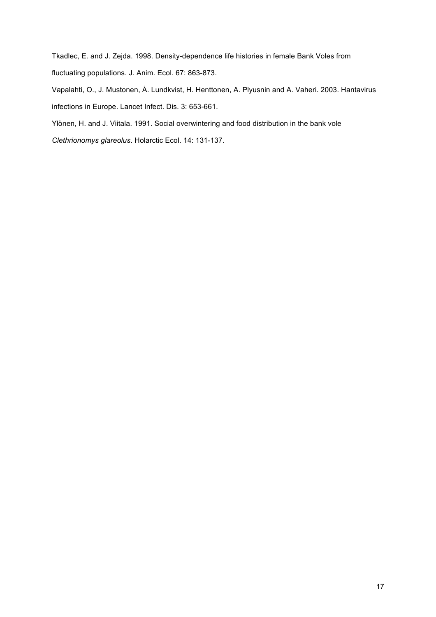Tkadlec, E. and J. Zejda. 1998. Density-dependence life histories in female Bank Voles from fluctuating populations. J. Anim. Ecol. 67: 863-873.

Vapalahti, O., J. Mustonen, Å. Lundkvist, H. Henttonen, A. Plyusnin and A. Vaheri. 2003. Hantavirus infections in Europe. Lancet Infect. Dis. 3: 653-661.

Ylönen, H. and J. Viitala. 1991. Social overwintering and food distribution in the bank vole *Clethrionomys glareolus*. Holarctic Ecol. 14: 131-137.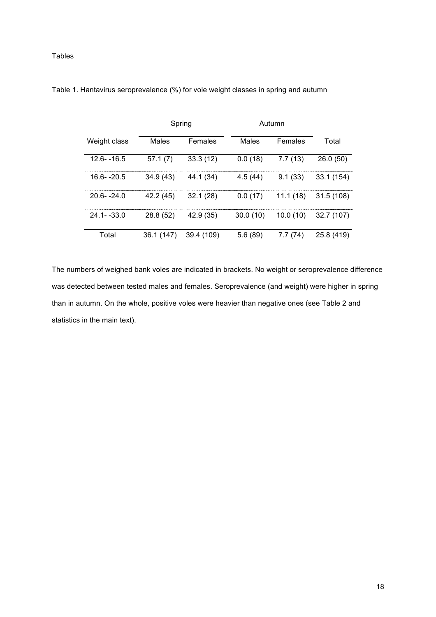Tables

|                | Spring     |            | Autumn   |          |            |
|----------------|------------|------------|----------|----------|------------|
| Weight class   | Males      | Females    | Males    | Females  | Total      |
| $12.6 - 16.5$  | 57.1(7)    | 33.3(12)   | 0.0(18)  | 7.7(13)  | 26.0(50)   |
| 16.6--20.5     | 34.9 (43)  | 44.1 (34)  | 4.5(44)  | 9.1(33)  | 33.1 (154) |
| $20.6 - 24.0$  | 42.2 (45)  | 32.1(28)   | 0.0(17)  | 11.1(18) | 31.5(108)  |
| $24.1 - -33.0$ | 28.8 (52)  | 42.9 (35)  | 30.0(10) | 10.0(10) | 32.7(107)  |
| Total          | 36.1 (147) | 39.4 (109) | 5.6(89)  | 7.7(74)  | 25.8 (419) |

Table 1. Hantavirus seroprevalence (%) for vole weight classes in spring and autumn

The numbers of weighed bank voles are indicated in brackets. No weight or seroprevalence difference was detected between tested males and females. Seroprevalence (and weight) were higher in spring than in autumn. On the whole, positive voles were heavier than negative ones (see Table 2 and statistics in the main text).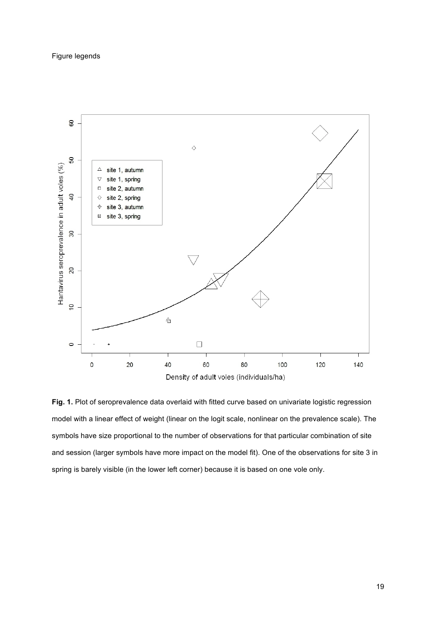

Fig. 1. Plot of seroprevalence data overlaid with fitted curve based on univariate logistic regression model with a linear effect of weight (linear on the logit scale, nonlinear on the prevalence scale). The symbols have size proportional to the number of observations for that particular combination of site and session (larger symbols have more impact on the model fit). One of the observations for site 3 in spring is barely visible (in the lower left corner) because it is based on one vole only.